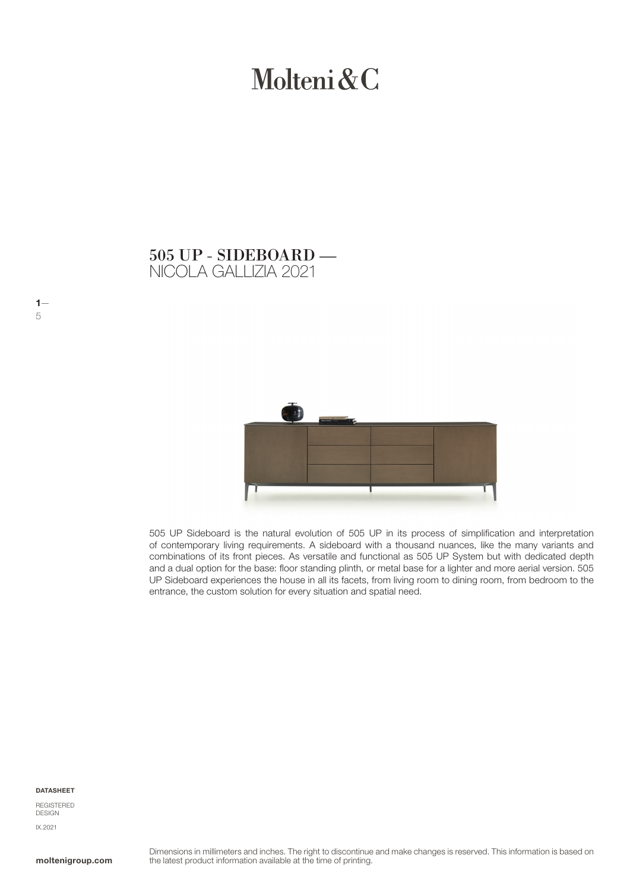# Molteni & C

NICOLA GALLIZIA 2021 505 UP - SIDEBOARD —



505 UP Sideboard is the natural evolution of 505 UP in its process of simplification and interpretation of contemporary living requirements. A sideboard with a thousand nuances, like the many variants and combinations of its front pieces. As versatile and functional as 505 UP System but with dedicated depth and a dual option for the base: floor standing plinth, or metal base for a lighter and more aerial version. 505 UP Sideboard experiences the house in all its facets, from living room to dining room, from bedroom to the entrance, the custom solution for every situation and spatial need.

#### DATASHEET

 $1-$ 5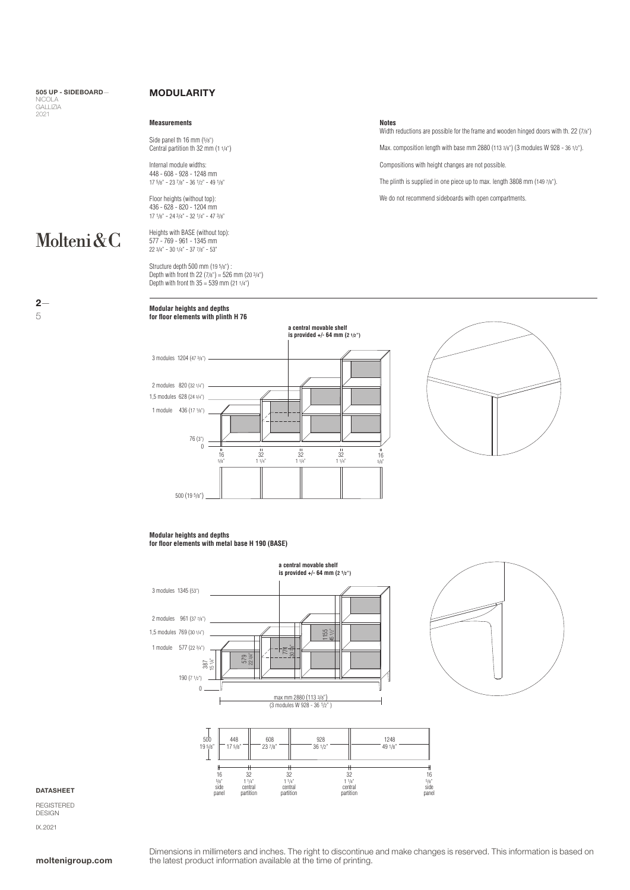505 UP - SIDEBOARD— NICOLA GALLIZIA 2021

Molteni&C

 $2-$ 

5

### MODULARITY

### **Measurements**

Side panel th 16 mm (5/8") Central partition th  $32 \text{ mm} (1 \frac{1}{4})$ 

Internal module widths: 448 - 608 - 928 - 1248 mm 17 5/8" - 23 7/8" - 36 1/2" - 49 1/8"

Floor heights (without top): 436 - 628 - 820 - 1204 mm 17 1/8" - 24 3/4" - 32 1/4" - 47 3/8"

Heights with BASE (without top): 577 - 769 - 961 - 1345 mm 22 3/4" - 30 1/4" - 37 7/8" - 53"

Structure depth 500 mm (19 5/8") : Depth with front th 22 (7/8") = 526 mm (20 3/4") Depth with front th 35 = 539 mm (21 1/4")

### **Modular heights and depths for floor elements with plinth H 76**

### **Notes**

Width reductions are possible for the frame and wooden hinged doors with th. 22 (7/8") Max. composition length with base mm 2880 (113 3/8") (3 modules W 928 - 36 1/2").

Compositions with height changes are not possible.

The plinth is supplied in one piece up to max. length 3808 mm (149 7/8").

We do not recommend sideboards with open compartments





### **Modular heights and depths for floor elements with metal base H 190 (BASE)**





#### DATASHEET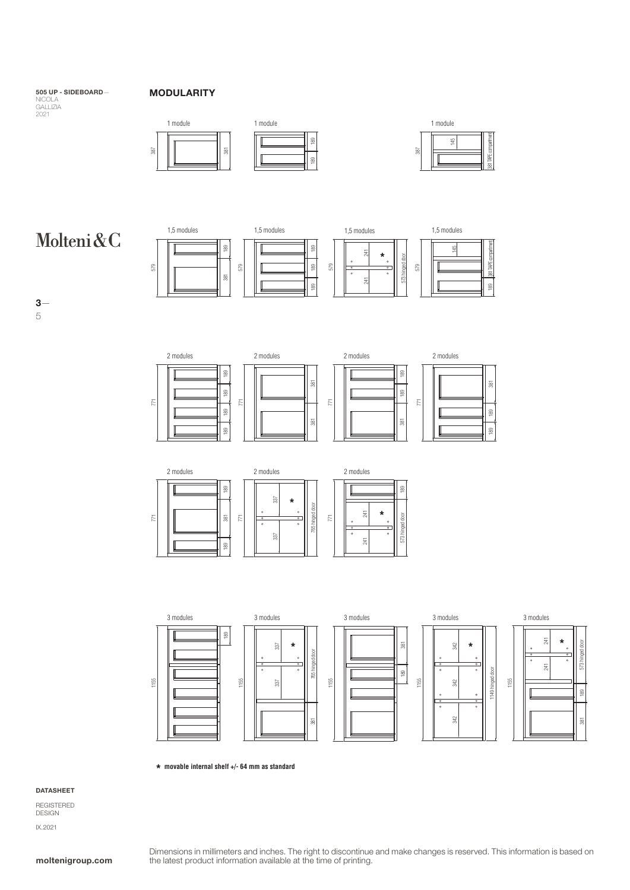### 505 UP - SIDEBOARD—

### NICOLA GALLIZIA 2021

### MODULARITY



## Molteni&C





2 modules 2 modules 2 modules 189 189  $\overline{38}$ 381 381 189 189 771 771 771 189 381 381 189



381

189

189







**\* movable internal shelf +/- 64 mm as standard**

### DATASHEET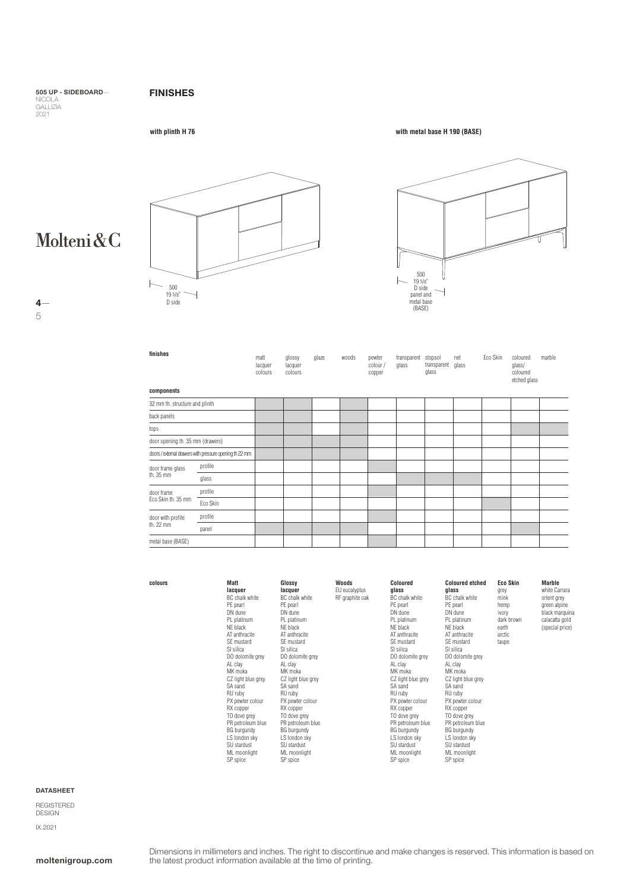### FINISHES

505 UP - SIDEBOARD— NICOLA GALLIZIA 2021

**with plinth H 76 with metal base H 190 (BASE)**

Molteni&C

5





| finishes                                                |          | matt<br>lacquer<br>colours | glossy<br>lacquer<br>colours | glaze | woods | pewter<br>colour /<br>copper | transparent<br>glass | stopsol<br>transparent<br>glass | net<br>glass | Eco Skin | coloured<br>glass/<br>coloured<br>etched glass | marble |
|---------------------------------------------------------|----------|----------------------------|------------------------------|-------|-------|------------------------------|----------------------|---------------------------------|--------------|----------|------------------------------------------------|--------|
| components                                              |          |                            |                              |       |       |                              |                      |                                 |              |          |                                                |        |
| 32 mm th. structure and plinth                          |          |                            |                              |       |       |                              |                      |                                 |              |          |                                                |        |
| back panels                                             |          |                            |                              |       |       |                              |                      |                                 |              |          |                                                |        |
| tops                                                    |          |                            |                              |       |       |                              |                      |                                 |              |          |                                                |        |
| door opening th. 35 mm (drawers)                        |          |                            |                              |       |       |                              |                      |                                 |              |          |                                                |        |
| doors / external drawers with pressure opening th 22 mm |          |                            |                              |       |       |                              |                      |                                 |              |          |                                                |        |
| door frame glass<br>th. 35 mm                           | profile  |                            |                              |       |       |                              |                      |                                 |              |          |                                                |        |
|                                                         | glass    |                            |                              |       |       |                              |                      |                                 |              |          |                                                |        |
| door frame<br>Eco Skin th. 35 mm                        | profile  |                            |                              |       |       |                              |                      |                                 |              |          |                                                |        |
|                                                         | Eco Skin |                            |                              |       |       |                              |                      |                                 |              |          |                                                |        |
| door with profile<br>th. 22 mm                          | profile  |                            |                              |       |       |                              |                      |                                 |              |          |                                                |        |
|                                                         | panel    |                            |                              |       |       |                              |                      |                                 |              |          |                                                |        |
| metal base (BASE)                                       |          |                            |                              |       |       |                              |                      |                                 |              |          |                                                |        |

| Matt               | Glossy             | Woods           | Coloured           | <b>Coloured etched</b> | Eco Skin   | Marble          |
|--------------------|--------------------|-----------------|--------------------|------------------------|------------|-----------------|
| lacquer            | lacquer            | EU eucalyptus   | glass              | qlass                  | grey       | white Carrara   |
| BC chalk white     | BC chalk white     | RF graphite oak | BC chalk white     | BC chalk white         | mink       | orient grey     |
| PE pearl           | PE pearl           |                 | PE pearl           | PE pearl               | hemp       | green alpine    |
| DN dune            | DN dune            |                 | DN dune            | DN dune                | ivory      | black marquina  |
| PL platinum        | PL platinum        |                 | PL platinum        | PL platinum            | dark brown | calacatta gold  |
| NE black           | NE black           |                 | NE black           | NE black               | earth      | (special price) |
| AT anthracite      | AT anthracite      |                 | AT anthracite      | AT anthracite          | arctic     |                 |
| SE mustard         | SE mustard         |                 | SE mustard         | SE mustard             | taupe      |                 |
| SI silica          | SI silica          |                 | SI silica          | SI silica              |            |                 |
| DO dolomite grey   | DO dolomite grey   |                 | DO dolomite grey   | DO dolomite grey       |            |                 |
| AL clay            | AL clay            |                 | AL clay            | AL clay                |            |                 |
| MK moka            | MK moka            |                 | MK moka            | MK moka                |            |                 |
| CZ light blue grey | CZ light blue grey |                 | CZ light blue grey | CZ light blue grey     |            |                 |
| SA sand            | SA sand            |                 | SA sand            | SA sand                |            |                 |
| RU rubv            | RU ruby            |                 | RU ruby            | RU ruby                |            |                 |
| PX pewter colour   | PX pewter colour   |                 | PX pewter colour   | PX pewter colour       |            |                 |
| RX copper          | RX copper          |                 | RX copper          | RX copper              |            |                 |
| TO dove grey       | TO dove grey       |                 | TO dove grey       | TO dove grey           |            |                 |
| PR petroleum blue  | PR petroleum blue  |                 | PR petroleum blue  | PR petroleum blue      |            |                 |
| BG burgundy        | <b>BG</b> burgundy |                 | BG burgundy        | BG burgundy            |            |                 |
| LS london sky      | LS london sky      |                 | LS london sky      | LS london sky          |            |                 |
| SU stardust        | SU stardust        |                 | SU stardust        | SU stardust            |            |                 |
| ML moonlight       | ML moonlight       |                 | ML moonlight       | ML moonlight           |            |                 |
| SP spice           | SP spice           |                 | SP spice           | SP spice               |            |                 |

DATASHEET